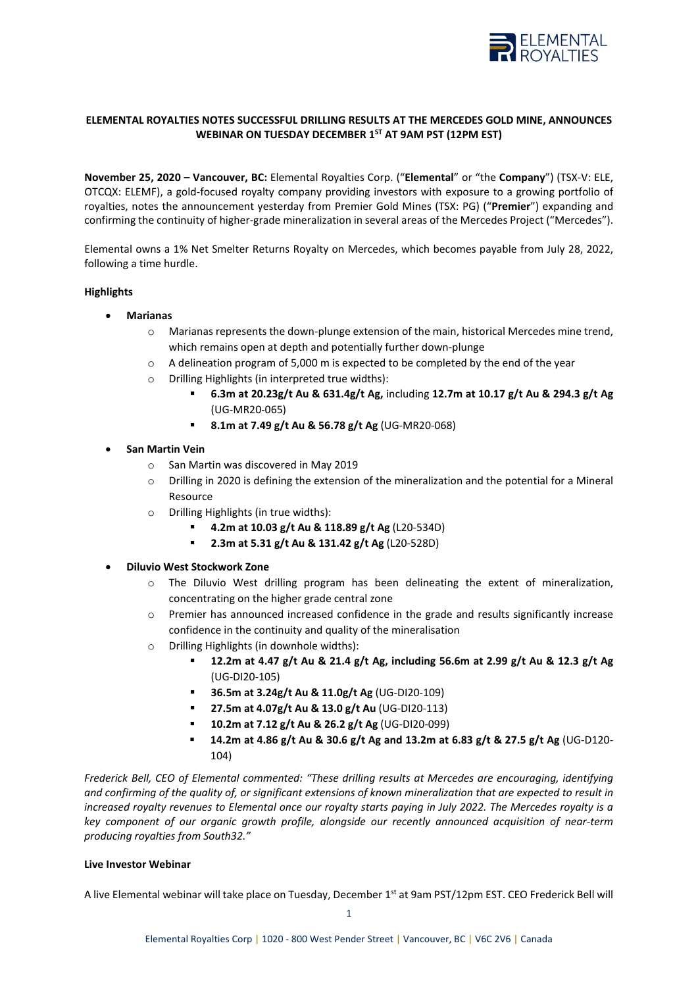

## **ELEMENTAL ROYALTIES NOTES SUCCESSFUL DRILLING RESULTS AT THE MERCEDES GOLD MINE, ANNOUNCES WEBINAR ON TUESDAY DECEMBER 1ST AT 9AM PST (12PM EST)**

**November 25, 2020 – Vancouver, BC:** Elemental Royalties Corp. ("**Elemental**" or "the **Company**") (TSX-V: ELE, OTCQX: ELEMF), a gold-focused royalty company providing investors with exposure to a growing portfolio of royalties, notes the announcement yesterday from Premier Gold Mines (TSX: PG) ("**Premier**") expanding and confirming the continuity of higher-grade mineralization in several areas of the Mercedes Project ("Mercedes").

Elemental owns a 1% Net Smelter Returns Royalty on Mercedes, which becomes payable from July 28, 2022, following a time hurdle.

#### **Highlights**

- **Marianas** 
	- $\circ$  Marianas represents the down-plunge extension of the main, historical Mercedes mine trend, which remains open at depth and potentially further down-plunge
	- $\circ$  A delineation program of 5,000 m is expected to be completed by the end of the year
	- o Drilling Highlights (in interpreted true widths):
		- **6.3m at 20.23g/t Au & 631.4g/t Ag,** including **12.7m at 10.17 g/t Au & 294.3 g/t Ag** (UG-MR20-065)
		- **8.1m at 7.49 g/t Au & 56.78 g/t Ag** (UG-MR20-068)
- **San Martin Vein**
	- o San Martin was discovered in May 2019
	- o Drilling in 2020 is defining the extension of the mineralization and the potential for a Mineral Resource
	- o Drilling Highlights (in true widths):
		- **4.2m at 10.03 g/t Au & 118.89 g/t Ag** (L20-534D)
		- **2.3m at 5.31 g/t Au & 131.42 g/t Ag** (L20-528D)

## • **Diluvio West Stockwork Zone**

- o The Diluvio West drilling program has been delineating the extent of mineralization, concentrating on the higher grade central zone
- Premier has announced increased confidence in the grade and results significantly increase confidence in the continuity and quality of the mineralisation
- o Drilling Highlights (in downhole widths):
	- **12.2m at 4.47 g/t Au & 21.4 g/t Ag, including 56.6m at 2.99 g/t Au & 12.3 g/t Ag** (UG-DI20-105)
	- **36.5m at 3.24g/t Au & 11.0g/t Ag** (UG-DI20-109)
	- **27.5m at 4.07g/t Au & 13.0 g/t Au** (UG-DI20-113)
	- **10.2m at 7.12 g/t Au & 26.2 g/t Ag** (UG-DI20-099)
	- **14.2m at 4.86 g/t Au & 30.6 g/t Ag and 13.2m at 6.83 g/t & 27.5 g/t Ag** (UG-D120- 104)

*Frederick Bell, CEO of Elemental commented: "These drilling results at Mercedes are encouraging, identifying and confirming of the quality of, or significant extensions of known mineralization that are expected to result in increased royalty revenues to Elemental once our royalty starts paying in July 2022. The Mercedes royalty is a key component of our organic growth profile, alongside our recently announced acquisition of near-term producing royalties from South32."*

## **Live Investor Webinar**

A live Elemental webinar will take place on Tuesday, December 1<sup>st</sup> at 9am PST/12pm EST. CEO Frederick Bell will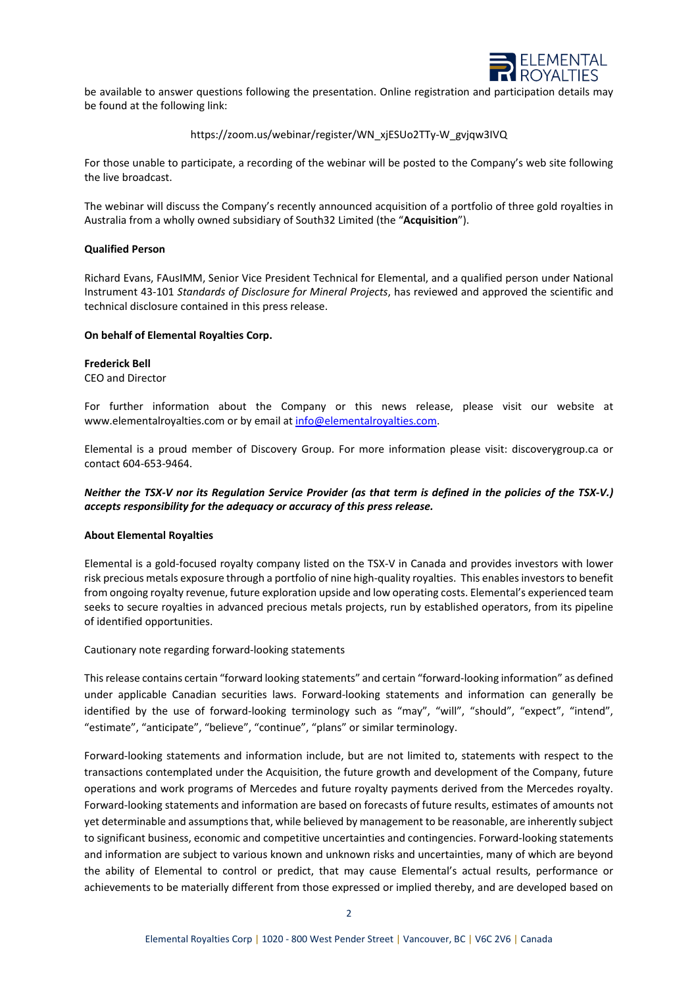

be available to answer questions following the presentation. Online registration and participation details may be found at the following link:

## https://zoom.us/webinar/register/WN\_xjESUo2TTy-W\_gvjqw3IVQ

For those unable to participate, a recording of the webinar will be posted to the Company's web site following the live broadcast.

The webinar will discuss the Company's recently announced acquisition of a portfolio of three gold royalties in Australia from a wholly owned subsidiary of South32 Limited (the "**Acquisition**").

## **Qualified Person**

Richard Evans, FAusIMM, Senior Vice President Technical for Elemental, and a qualified person under National Instrument 43-101 *Standards of Disclosure for Mineral Projects*, has reviewed and approved the scientific and technical disclosure contained in this press release.

#### **On behalf of Elemental Royalties Corp.**

#### **Frederick Bell** CEO and Director

For further information about the Company or this news release, please visit our website at www.elementalroyalties.com or by email at [info@elementalroyalties.com.](mailto:info@elementalroyalties.com)

Elemental is a proud member of Discovery Group. For more information please visit: discoverygroup.ca or contact 604-653-9464.

# *Neither the TSX-V nor its Regulation Service Provider (as that term is defined in the policies of the TSX-V.) accepts responsibility for the adequacy or accuracy of this press release.*

# **About Elemental Royalties**

Elemental is a gold-focused royalty company listed on the TSX-V in Canada and provides investors with lower risk precious metals exposure through a portfolio of nine high-quality royalties. This enables investors to benefit from ongoing royalty revenue, future exploration upside and low operating costs. Elemental's experienced team seeks to secure royalties in advanced precious metals projects, run by established operators, from its pipeline of identified opportunities.

Cautionary note regarding forward-looking statements

This release contains certain "forward looking statements" and certain "forward-looking information" as defined under applicable Canadian securities laws. Forward-looking statements and information can generally be identified by the use of forward-looking terminology such as "may", "will", "should", "expect", "intend", "estimate", "anticipate", "believe", "continue", "plans" or similar terminology.

Forward-looking statements and information include, but are not limited to, statements with respect to the transactions contemplated under the Acquisition, the future growth and development of the Company, future operations and work programs of Mercedes and future royalty payments derived from the Mercedes royalty. Forward-looking statements and information are based on forecasts of future results, estimates of amounts not yet determinable and assumptions that, while believed by management to be reasonable, are inherently subject to significant business, economic and competitive uncertainties and contingencies. Forward-looking statements and information are subject to various known and unknown risks and uncertainties, many of which are beyond the ability of Elemental to control or predict, that may cause Elemental's actual results, performance or achievements to be materially different from those expressed or implied thereby, and are developed based on